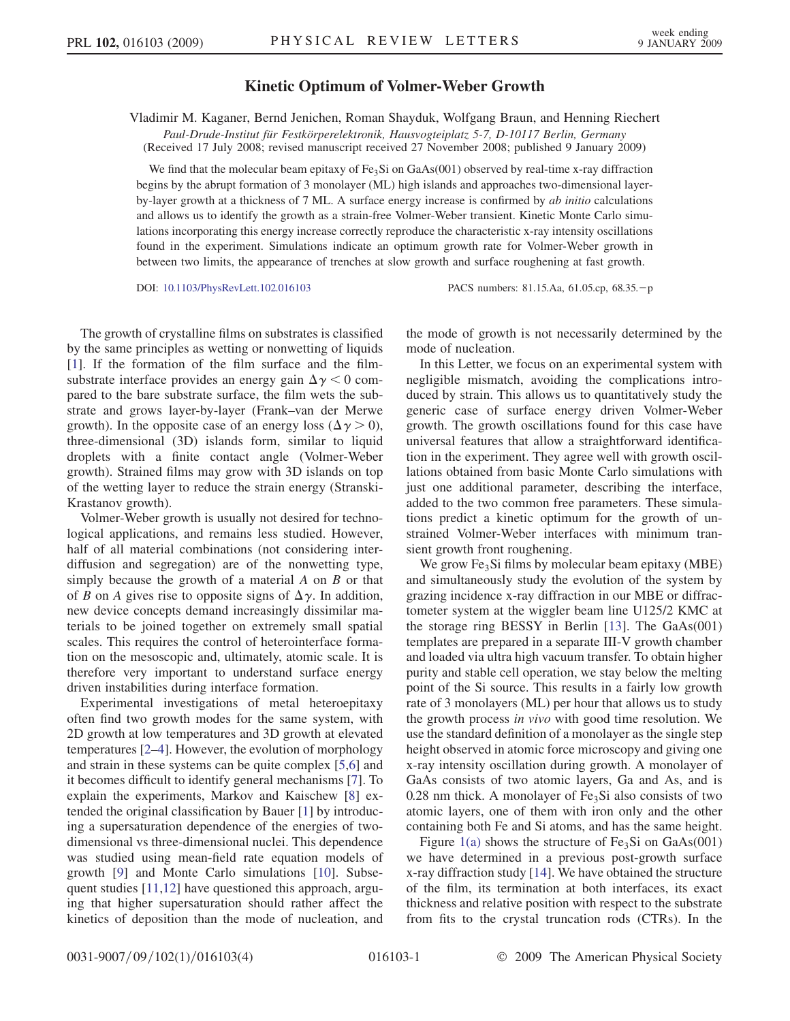## Kinetic Optimum of Volmer-Weber Growth

Vladimir M. Kaganer, Bernd Jenichen, Roman Shayduk, Wolfgang Braun, and Henning Riechert

Paul-Drude-Institut für Festkörperelektronik, Hausvogteiplatz 5-7, D-10117 Berlin, Germany (Received 17 July 2008; revised manuscript received 27 November 2008; published 9 January 2009)

We find that the molecular beam epitaxy of  $Fe<sub>3</sub>Si$  on GaAs(001) observed by real-time x-ray diffraction begins by the abrupt formation of 3 monolayer (ML) high islands and approaches two-dimensional layerby-layer growth at a thickness of 7 ML. A surface energy increase is confirmed by *ab initio* calculations and allows us to identify the growth as a strain-free Volmer-Weber transient. Kinetic Monte Carlo simulations incorporating this energy increase correctly reproduce the characteristic x-ray intensity oscillations found in the experiment. Simulations indicate an optimum growth rate for Volmer-Weber growth in between two limits, the appearance of trenches at slow growth and surface roughening at fast growth.

DOI: [10.1103/PhysRevLett.102.016103](http://dx.doi.org/10.1103/PhysRevLett.102.016103) PACS numbers: 81.15.Aa, 61.05.cp, 68.35.-p

The growth of crystalline films on substrates is classified by the same principles as wetting or nonwetting of liquids [\[1\]](#page-3-0). If the formation of the film surface and the filmsubstrate interface provides an energy gain  $\Delta \gamma < 0$  compared to the bare substrate surface, the film wets the substrate and grows layer-by-layer (Frank–van der Merwe growth). In the opposite case of an energy loss ( $\Delta \gamma > 0$ ), three-dimensional (3D) islands form, similar to liquid droplets with a finite contact angle (Volmer-Weber growth). Strained films may grow with 3D islands on top of the wetting layer to reduce the strain energy (Stranski-Krastanov growth).

Volmer-Weber growth is usually not desired for technological applications, and remains less studied. However, half of all material combinations (not considering interdiffusion and segregation) are of the nonwetting type, simply because the growth of a material  $A$  on  $B$  or that of B on A gives rise to opposite signs of  $\Delta \gamma$ . In addition, new device concepts demand increasingly dissimilar materials to be joined together on extremely small spatial scales. This requires the control of heterointerface formation on the mesoscopic and, ultimately, atomic scale. It is therefore very important to understand surface energy driven instabilities during interface formation.

Experimental investigations of metal heteroepitaxy often find two growth modes for the same system, with 2D growth at low temperatures and 3D growth at elevated temperatures [[2–4\]](#page-3-0). However, the evolution of morphology and strain in these systems can be quite complex [[5,6\]](#page-3-0) and it becomes difficult to identify general mechanisms [\[7\]](#page-3-0). To explain the experiments, Markov and Kaischew [\[8\]](#page-3-0) extended the original classification by Bauer [\[1\]](#page-3-0) by introducing a supersaturation dependence of the energies of twodimensional vs three-dimensional nuclei. This dependence was studied using mean-field rate equation models of growth [[9\]](#page-3-0) and Monte Carlo simulations [\[10\]](#page-3-0). Subsequent studies [\[11,12\]](#page-3-0) have questioned this approach, arguing that higher supersaturation should rather affect the kinetics of deposition than the mode of nucleation, and the mode of growth is not necessarily determined by the mode of nucleation.

In this Letter, we focus on an experimental system with negligible mismatch, avoiding the complications introduced by strain. This allows us to quantitatively study the generic case of surface energy driven Volmer-Weber growth. The growth oscillations found for this case have universal features that allow a straightforward identification in the experiment. They agree well with growth oscillations obtained from basic Monte Carlo simulations with just one additional parameter, describing the interface, added to the two common free parameters. These simulations predict a kinetic optimum for the growth of unstrained Volmer-Weber interfaces with minimum transient growth front roughening.

We grow  $Fe<sub>3</sub>Si$  films by molecular beam epitaxy (MBE) and simultaneously study the evolution of the system by grazing incidence x-ray diffraction in our MBE or diffractometer system at the wiggler beam line U125/2 KMC at the storage ring BESSY in Berlin [[13](#page-3-0)]. The GaAs(001) templates are prepared in a separate III-V growth chamber and loaded via ultra high vacuum transfer. To obtain higher purity and stable cell operation, we stay below the melting point of the Si source. This results in a fairly low growth rate of 3 monolayers (ML) per hour that allows us to study the growth process in vivo with good time resolution. We use the standard definition of a monolayer as the single step height observed in atomic force microscopy and giving one x-ray intensity oscillation during growth. A monolayer of GaAs consists of two atomic layers, Ga and As, and is  $0.28$  nm thick. A monolayer of Fe<sub>3</sub>Si also consists of two atomic layers, one of them with iron only and the other containing both Fe and Si atoms, and has the same height.

Figure [1\(a\)](#page-1-0) shows the structure of  $Fe<sub>3</sub>Si$  on  $GaAs(001)$ we have determined in a previous post-growth surface x-ray diffraction study [[14](#page-3-0)]. We have obtained the structure of the film, its termination at both interfaces, its exact thickness and relative position with respect to the substrate from fits to the crystal truncation rods (CTRs). In the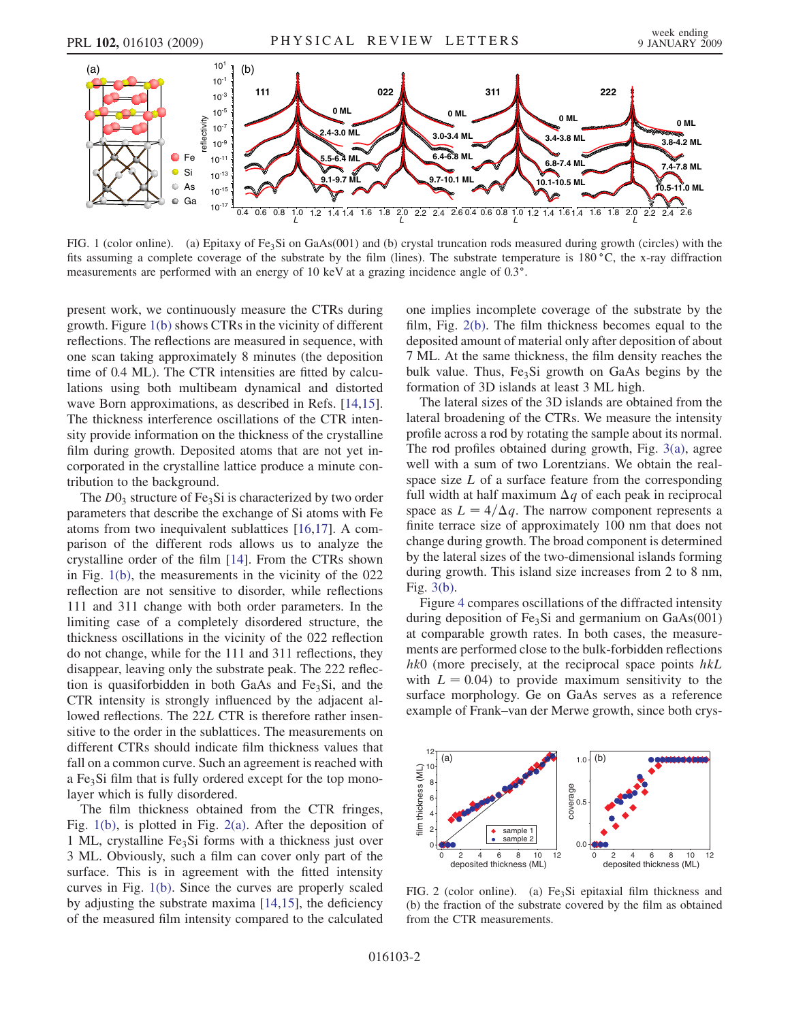<span id="page-1-0"></span>

FIG. 1 (color online). (a) Epitaxy of Fe<sub>3</sub>Si on GaAs(001) and (b) crystal truncation rods measured during growth (circles) with the fits assuming a complete coverage of the substrate by the film (lines). The substrate temperature is  $180\degree\text{C}$ , the x-ray diffraction measurements are performed with an energy of 10 keV at a grazing incidence angle of 0.3°.

present work, we continuously measure the CTRs during growth. Figure 1(b) shows CTRs in the vicinity of different reflections. The reflections are measured in sequence, with one scan taking approximately 8 minutes (the deposition time of 0.4 ML). The CTR intensities are fitted by calculations using both multibeam dynamical and distorted wave Born approximations, as described in Refs. [\[14,15\]](#page-3-0). The thickness interference oscillations of the CTR intensity provide information on the thickness of the crystalline film during growth. Deposited atoms that are not yet incorporated in the crystalline lattice produce a minute contribution to the background.

The  $D0_3$  structure of Fe<sub>3</sub>Si is characterized by two order parameters that describe the exchange of Si atoms with Fe atoms from two inequivalent sublattices [[16](#page-3-0),[17](#page-3-0)]. A comparison of the different rods allows us to analyze the crystalline order of the film [[14](#page-3-0)]. From the CTRs shown in Fig. 1(b), the measurements in the vicinity of the 022 reflection are not sensitive to disorder, while reflections 111 and 311 change with both order parameters. In the limiting case of a completely disordered structure, the thickness oscillations in the vicinity of the 022 reflection do not change, while for the 111 and 311 reflections, they disappear, leaving only the substrate peak. The 222 reflection is quasiforbidden in both GaAs and  $Fe<sub>3</sub>Si$ , and the CTR intensity is strongly influenced by the adjacent allowed reflections. The 22L CTR is therefore rather insensitive to the order in the sublattices. The measurements on different CTRs should indicate film thickness values that fall on a common curve. Such an agreement is reached with a Fe<sub>3</sub>Si film that is fully ordered except for the top monolayer which is fully disordered.

The film thickness obtained from the CTR fringes, Fig. 1(b), is plotted in Fig. 2(a). After the deposition of 1 ML, crystalline  $Fe<sub>3</sub>Si$  forms with a thickness just over 3 ML. Obviously, such a film can cover only part of the surface. This is in agreement with the fitted intensity curves in Fig. 1(b). Since the curves are properly scaled by adjusting the substrate maxima [[14](#page-3-0),[15](#page-3-0)], the deficiency of the measured film intensity compared to the calculated one implies incomplete coverage of the substrate by the film, Fig. 2(b). The film thickness becomes equal to the deposited amount of material only after deposition of about 7 ML. At the same thickness, the film density reaches the bulk value. Thus,  $Fe<sub>3</sub>Si$  growth on GaAs begins by the formation of 3D islands at least 3 ML high.

The lateral sizes of the 3D islands are obtained from the lateral broadening of the CTRs. We measure the intensity profile across a rod by rotating the sample about its normal. The rod profiles obtained during growth, Fig. [3\(a\)](#page-2-0), agree well with a sum of two Lorentzians. We obtain the realspace size L of a surface feature from the corresponding full width at half maximum  $\Delta q$  of each peak in reciprocal space as  $L = 4/\Delta q$ . The narrow component represents a finite terrace size of approximately 100 nm that does not change during growth. The broad component is determined by the lateral sizes of the two-dimensional islands forming during growth. This island size increases from 2 to 8 nm, Fig. [3\(b\).](#page-2-0)

Figure [4](#page-2-0) compares oscillations of the diffracted intensity during deposition of  $Fe<sub>3</sub>Si$  and germanium on  $GaAs(001)$ at comparable growth rates. In both cases, the measurements are performed close to the bulk-forbidden reflections hk0 (more precisely, at the reciprocal space points hkL with  $L = 0.04$ ) to provide maximum sensitivity to the surface morphology. Ge on GaAs serves as a reference example of Frank–van der Merwe growth, since both crys-



FIG. 2 (color online). (a) Fe<sub>3</sub>Si epitaxial film thickness and (b) the fraction of the substrate covered by the film as obtained from the CTR measurements.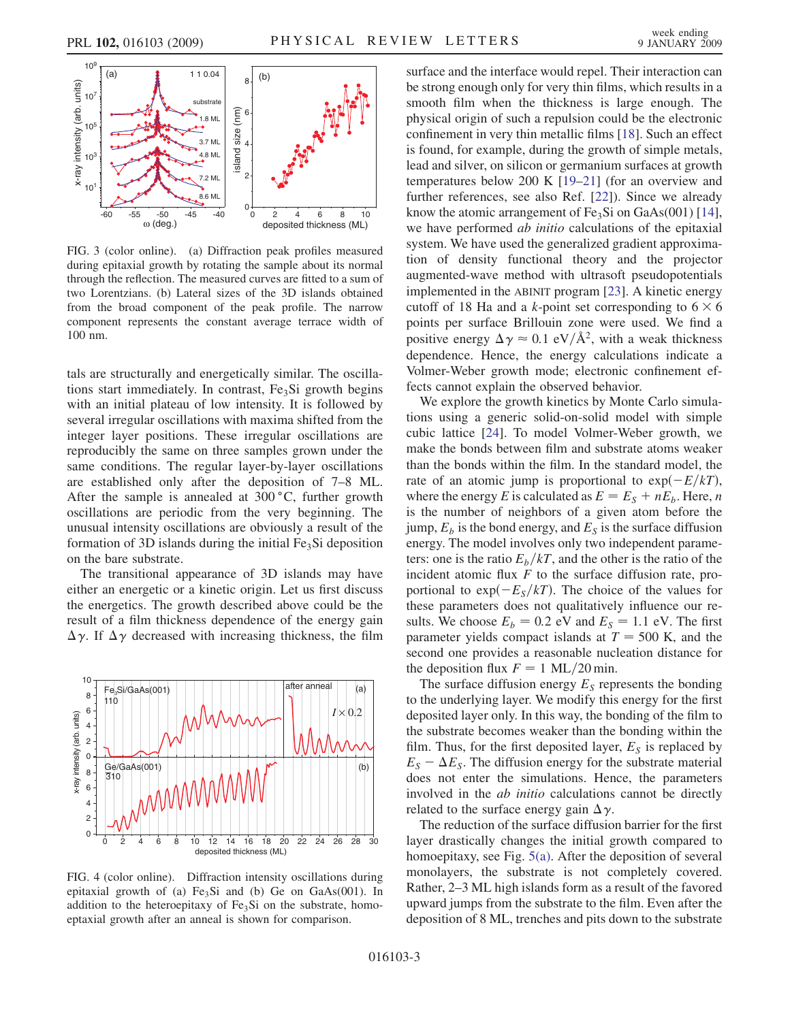<span id="page-2-0"></span>

FIG. 3 (color online). (a) Diffraction peak profiles measured during epitaxial growth by rotating the sample about its normal through the reflection. The measured curves are fitted to a sum of two Lorentzians. (b) Lateral sizes of the 3D islands obtained from the broad component of the peak profile. The narrow component represents the constant average terrace width of 100 nm.

tals are structurally and energetically similar. The oscillations start immediately. In contrast,  $Fe<sub>3</sub>Si$  growth begins with an initial plateau of low intensity. It is followed by several irregular oscillations with maxima shifted from the integer layer positions. These irregular oscillations are reproducibly the same on three samples grown under the same conditions. The regular layer-by-layer oscillations are established only after the deposition of 7–8 ML. After the sample is annealed at  $300\degree C$ , further growth oscillations are periodic from the very beginning. The unusual intensity oscillations are obviously a result of the formation of 3D islands during the initial  $Fe<sub>3</sub>Si$  deposition on the bare substrate.

The transitional appearance of 3D islands may have either an energetic or a kinetic origin. Let us first discuss the energetics. The growth described above could be the result of a film thickness dependence of the energy gain  $\Delta \gamma$ . If  $\Delta \gamma$  decreased with increasing thickness, the film



FIG. 4 (color online). Diffraction intensity oscillations during epitaxial growth of (a)  $Fe<sub>3</sub>Si$  and (b) Ge on GaAs(001). In addition to the heteroepitaxy of  $Fe<sub>3</sub>Si$  on the substrate, homoeptaxial growth after an anneal is shown for comparison.

surface and the interface would repel. Their interaction can be strong enough only for very thin films, which results in a smooth film when the thickness is large enough. The physical origin of such a repulsion could be the electronic confinement in very thin metallic films [[18](#page-3-0)]. Such an effect is found, for example, during the growth of simple metals, lead and silver, on silicon or germanium surfaces at growth temperatures below 200 K [\[19–21](#page-3-0)] (for an overview and further references, see also Ref. [\[22\]](#page-3-0)). Since we already know the atomic arrangement of  $Fe<sub>3</sub>Si$  on  $GaAs(001)$  [[14\]](#page-3-0), we have performed *ab initio* calculations of the epitaxial system. We have used the generalized gradient approximation of density functional theory and the projector augmented-wave method with ultrasoft pseudopotentials implemented in the ABINIT program [\[23\]](#page-3-0). A kinetic energy cutoff of 18 Ha and a k-point set corresponding to  $6 \times 6$ points per surface Brillouin zone were used. We find a positive energy  $\Delta \gamma \approx 0.1 \text{ eV/A}^2$ , with a weak thickness dependence. Hence, the energy calculations indicate a Volmer-Weber growth mode; electronic confinement effects cannot explain the observed behavior.

We explore the growth kinetics by Monte Carlo simulations using a generic solid-on-solid model with simple cubic lattice [[24](#page-3-0)]. To model Volmer-Weber growth, we make the bonds between film and substrate atoms weaker than the bonds within the film. In the standard model, the rate of an atomic jump is proportional to  $\exp(-E/kT)$ , where the energy E is calculated as  $E = E<sub>S</sub> + nE<sub>b</sub>$ . Here, n is the number of neighbors of a given atom before the jump,  $E_b$  is the bond energy, and  $E_s$  is the surface diffusion energy. The model involves only two independent parameters: one is the ratio  $E_b/kT$ , and the other is the ratio of the incident atomic flux  $F$  to the surface diffusion rate, proportional to  $\exp(-E_s/kT)$ . The choice of the values for these parameters does not qualitatively influence our results. We choose  $E_b = 0.2$  eV and  $E_s = 1.1$  eV. The first parameter yields compact islands at  $T = 500$  K, and the second one provides a reasonable nucleation distance for the deposition flux  $F = 1$  ML/20 min.

The surface diffusion energy  $E<sub>S</sub>$  represents the bonding to the underlying layer. We modify this energy for the first deposited layer only. In this way, the bonding of the film to the substrate becomes weaker than the bonding within the film. Thus, for the first deposited layer,  $E<sub>S</sub>$  is replaced by  $E_S - \Delta E_S$ . The diffusion energy for the substrate material does not enter the simulations. Hence, the parameters involved in the ab initio calculations cannot be directly related to the surface energy gain  $\Delta \gamma$ .

The reduction of the surface diffusion barrier for the first layer drastically changes the initial growth compared to homoepitaxy, see Fig. [5\(a\).](#page-3-0) After the deposition of several monolayers, the substrate is not completely covered. Rather, 2–3 ML high islands form as a result of the favored upward jumps from the substrate to the film. Even after the deposition of 8 ML, trenches and pits down to the substrate